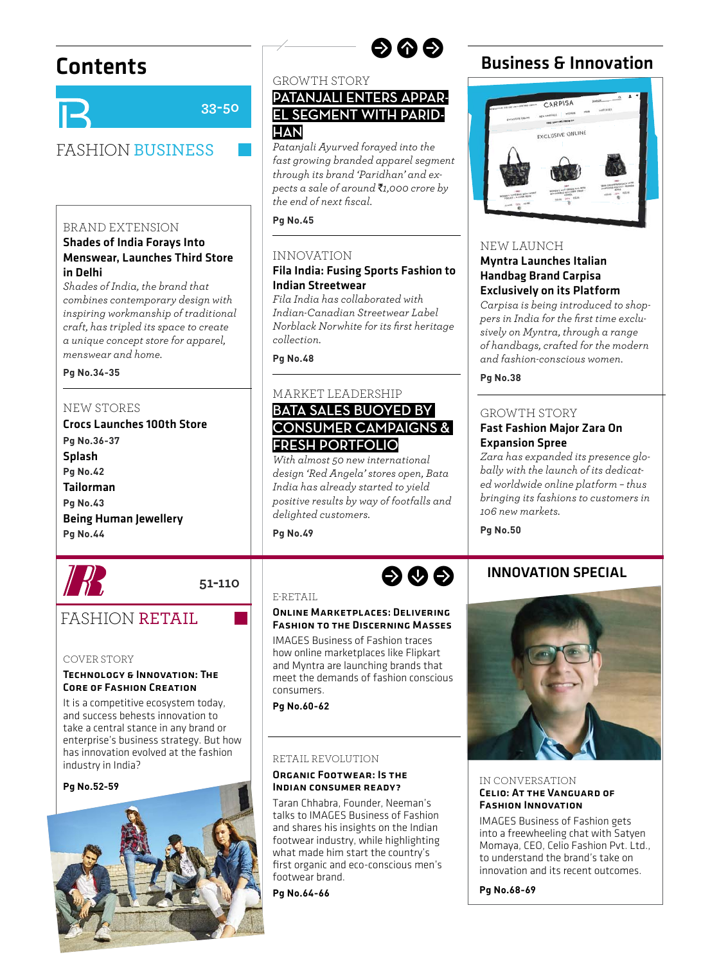

**33-50**

# FASHION BUSINESS

## BRAND EXTENSION

## Shades of India Forays Into Menswear, Launches Third Store in Delhi

*Shades of India, the brand that combines contemporary design with inspiring workmanship of traditional craft, has tripled its space to create a unique concept store for apparel, menswear and home.*

#### Pa No.34-35 **Pg No.34-35**

## NEW STORES

Crocs Launches 100th Store Pa No.36-37 .<br>Splash **Pa No.42 Pg No.42** Tailorman **Pa No.43 Pg No.43** Being Human Jewellery **Pa No.44 Pg No.44**



### GROWTH STORY

## **PATANJALI ENTERS APPAR-EL SEGMENT WITH PARID-HAN**

*Patanjali Ayurved forayed into the fast growing branded apparel segment through its brand 'Paridhan' and expects a sale of around* `*1,000 crore by the end of next fi scal.* 

 $Pn No.45$ **Pg No.45**

## INNOVATION

## Fila India: Fusing Sports Fashion to Indian Streetwear

*Fila India has collaborated with Indian-Canadian Streetwear Label Norblack Norwhite for its fi rst heritage collection.* 

**Pg No.48**

### MARKET LEADERSHIP **BATA SALES BUOYED BY**

# **CONSUMER CAMPAIGNS & FRESH PORTFOLIO**

*With almost 50 new international design 'Red Angela' stores open, Bata India has already started to yield positive results by way of footfalls and delighted customers.* 

**Pg No.49**





### NEW LAUNCH

## Myntra Launches Italian Handbag Brand Carpisa Exclusively on its Platform

*Carpisa is being introduced to shop*pers in India for the first time exclu*sively on Myntra, through a range of handbags, crafted for the modern and fashion-conscious women.*

**Pg No.38**

## GROWTH STORY

## Fast Fashion Major Zara On Expansion Spree

*Zara has expanded its presence globally with the launch of its dedicated worldwide online platform – thus bringing its fashions to customers in 106 new markets.*

**Pg No.50**

## INNOVATION SPECIAL



#### IN CONVERSATION Celio: At the Vanguard of Fashion Innovation

IMAGES Business of Fashion gets into a freewheeling chat with Satyen Momaya, CEO, Celio Fashion Pvt. Ltd., to understand the brand's take on innovation and its recent outcomes.

**Pg No.68-69**

# FASHION RETAIL

#### COVER STORY

#### Technology & Innovation: The Core of Fashion Creation

It is a competitive ecosystem today, and success behests innovation to take a central stance in any brand or enterprise's business strategy. But how has innovation evolved at the fashion industry in India?

#### **Pg No.52-59**



E-RETAIL

**51-110**

## Online Marketplaces: Delivering Fashion to the Discerning Masses

IMAGES Business of Fashion traces how online marketplaces like Flipkart and Myntra are launching brands that meet the demands of fashion conscious consumers.

**Pg No.60-62**

## RETAIL REVOLUTION

## Organic Footwear: Is the Indian consumer ready?

Taran Chhabra, Founder, Neeman's talks to IMAGES Business of Fashion and shares his insights on the Indian footwear industry, while highlighting what made him start the country's first organic and eco-conscious men's footwear brand.

**Pg No.64-66**



rwr